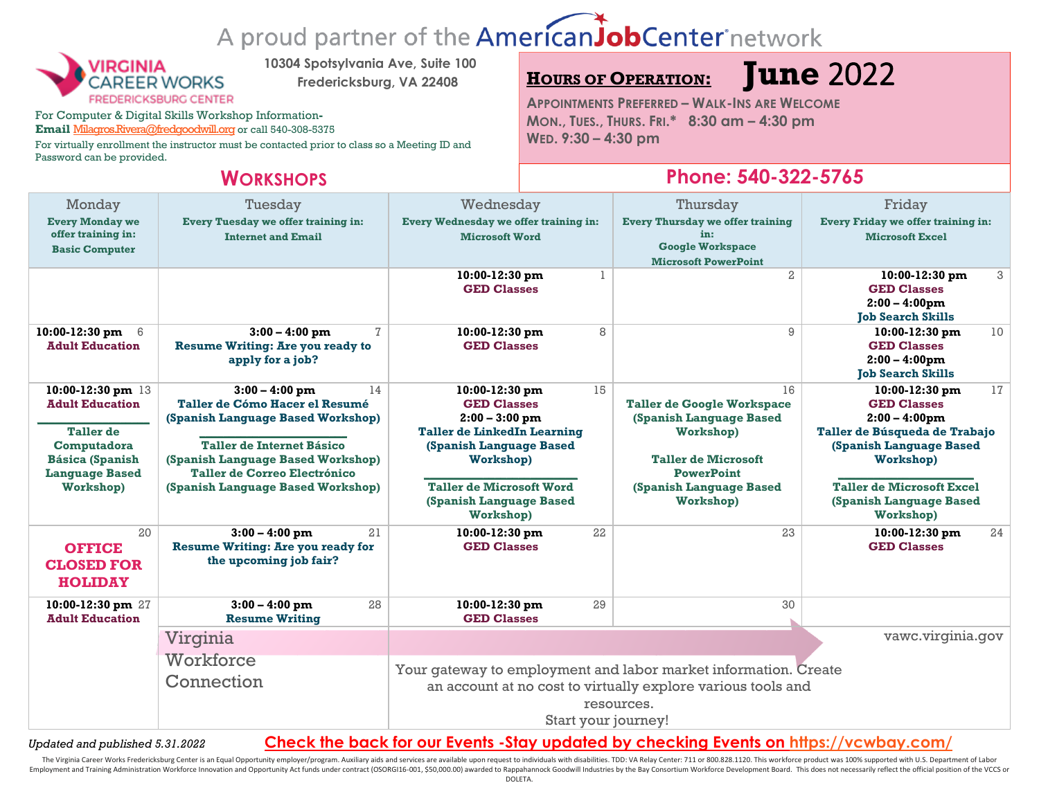# A proud partner of the AmericanJobCenter network



**10304 Spotsylvania Ave, Suite 100**

**Fredericksburg, VA 22408**

For Computer & Digital Skills Workshop Information**-**

Email [Milagros.Rivera@fredgoodwill.org](mailto:Milagros.Rivera@fredgoodwill.org) or call 540-308-5375

For virtually enrollment the instructor must be contacted prior to class so a Meeting ID and Password can be provided.

## **<sup>H</sup>OURS OF OPERATION: June** 2022

**APPOINTMENTS PREFERRED – WALK-INS ARE WELCOME MON., TUES., THURS. FRI.\* 8:30 am – 4:30 pm WED. 9:30 – 4:30 pm**

### **WORKSHOPS Phone: 540-322-5765**

| Monday<br><b>Every Monday we</b><br>offer training in:<br><b>Basic Computer</b>                                                                | Tuesday<br>Every Tuesday we offer training in:<br><b>Internet and Email</b>                                                                                                                                                                 | Wednesday<br>Every Wednesday we offer training in:<br><b>Microsoft Word</b>                                                                                                                                             | Thursday<br><b>Every Thursday we offer training</b><br>in:<br><b>Google Workspace</b><br><b>Microsoft PowerPoint</b>                                                       | Friday<br>Every Friday we offer training in:<br><b>Microsoft Excel</b>                                                                                                                                              |  |
|------------------------------------------------------------------------------------------------------------------------------------------------|---------------------------------------------------------------------------------------------------------------------------------------------------------------------------------------------------------------------------------------------|-------------------------------------------------------------------------------------------------------------------------------------------------------------------------------------------------------------------------|----------------------------------------------------------------------------------------------------------------------------------------------------------------------------|---------------------------------------------------------------------------------------------------------------------------------------------------------------------------------------------------------------------|--|
|                                                                                                                                                |                                                                                                                                                                                                                                             | 10:00-12:30 pm<br><b>GED Classes</b>                                                                                                                                                                                    | $\overline{a}$                                                                                                                                                             | 3<br>10:00-12:30 pm<br><b>GED Classes</b><br>$2:00 - 4:00$ pm<br><b>Tob Search Skills</b>                                                                                                                           |  |
| 10:00-12:30 pm<br>- 6<br><b>Adult Education</b>                                                                                                | 7<br>$3:00 - 4:00$ pm<br><b>Resume Writing: Are you ready to</b><br>apply for a job?                                                                                                                                                        | 8<br>10:00-12:30 pm<br><b>GED Classes</b>                                                                                                                                                                               | 9                                                                                                                                                                          | 10<br>10:00-12:30 pm<br><b>GED Classes</b><br>$2:00 - 4:00$ pm<br><b>Job Search Skills</b>                                                                                                                          |  |
| 10:00-12:30 pm 13<br><b>Adult Education</b><br><b>Taller</b> de<br>Computadora<br><b>Básica (Spanish</b><br><b>Language Based</b><br>Workshop) | $3:00 - 4:00$ pm<br>14<br>Taller de Cómo Hacer el Resumé<br>(Spanish Language Based Workshop)<br>Taller de Internet Básico<br>(Spanish Language Based Workshop)<br><b>Taller de Correo Electrónico</b><br>(Spanish Language Based Workshop) | 15<br>10:00-12:30 pm<br><b>GED Classes</b><br>$2:00 - 3:00$ pm<br><b>Taller de LinkedIn Learning</b><br>(Spanish Language Based<br>Workshop)<br><b>Taller de Microsoft Word</b><br>(Spanish Language Based<br>Workshop) | 16<br><b>Taller de Google Workspace</b><br>(Spanish Language Based<br>Workshop)<br><b>Taller de Microsoft</b><br><b>PowerPoint</b><br>(Spanish Language Based<br>Workshop) | 17<br>10:00-12:30 pm<br><b>GED Classes</b><br>$2:00 - 4:00$ pm<br>Taller de Búsqueda de Trabajo<br>(Spanish Language Based<br>Workshop)<br><b>Taller de Microsoft Excel</b><br>(Spanish Language Based<br>Workshop) |  |
| 20<br><b>OFFICE</b><br><b>CLOSED FOR</b><br><b>HOLIDAY</b>                                                                                     | $3:00 - 4:00$ pm<br>21<br><b>Resume Writing: Are you ready for</b><br>the upcoming job fair?                                                                                                                                                | 22<br>10:00-12:30 pm<br><b>GED Classes</b>                                                                                                                                                                              | 23                                                                                                                                                                         | 24<br>10:00-12:30 pm<br><b>GED Classes</b>                                                                                                                                                                          |  |
| 10:00-12:30 pm 27<br><b>Adult Education</b>                                                                                                    | 28<br>$3:00 - 4:00$ pm<br><b>Resume Writing</b>                                                                                                                                                                                             | 29<br>10:00-12:30 pm<br><b>GED Classes</b>                                                                                                                                                                              | 30                                                                                                                                                                         |                                                                                                                                                                                                                     |  |
|                                                                                                                                                | Virginia<br>Workforce<br>Connection                                                                                                                                                                                                         | vawc.virginia.gov<br>Your gateway to employment and labor market information. Create<br>an account at no cost to virtually explore various tools and<br>resources.<br>Start your journey!                               |                                                                                                                                                                            |                                                                                                                                                                                                                     |  |

*Updated and published 5.31.2022* **Check the back for our Events -Stay updated by checking Events on<https://vcwbay.com/>**

The Virginia Career Works Fredericksburg Center is an Equal Opportunity employer/program. Auxiliary aids and services are available upon request to individuals with disabilities. TDD: VA Relay Center: 711 or 800.828.1120. Employment and Training Administration Workforce Innovation and Opportunity Act funds under contract (OSORG116-001, \$50,000.00) awarded to Rappahannock Goodwill Industries by the Bay Consortium Workforce Development Board.